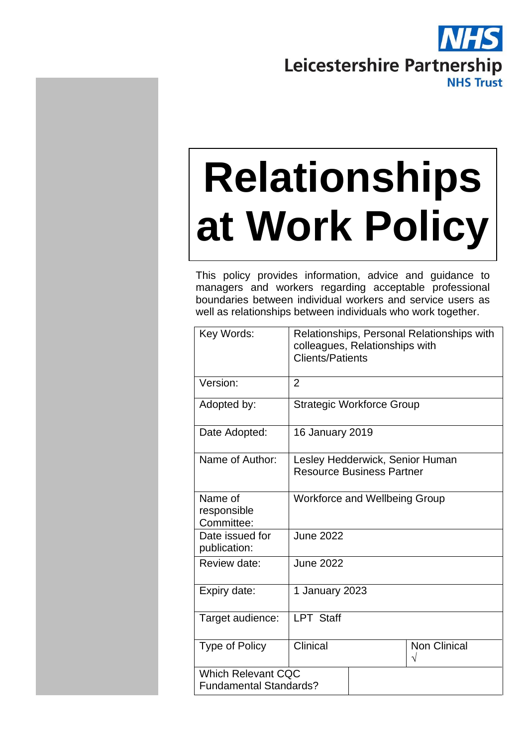

# **Relationships at Work Policy**

This policy provides information, advice and guidance to managers and workers regarding acceptable professional boundaries between individual workers and service users as well as relationships between individuals who work together.

| Key Words:                                                 | Relationships, Personal Relationships with<br>colleagues, Relationships with<br><b>Clients/Patients</b> |                                 |  |
|------------------------------------------------------------|---------------------------------------------------------------------------------------------------------|---------------------------------|--|
| Version:                                                   | $\overline{2}$                                                                                          |                                 |  |
| Adopted by:                                                | <b>Strategic Workforce Group</b>                                                                        |                                 |  |
| Date Adopted:                                              | <b>16 January 2019</b>                                                                                  |                                 |  |
| Name of Author:                                            | <b>Resource Business Partner</b>                                                                        | Lesley Hedderwick, Senior Human |  |
| Name of<br>responsible<br>Committee:                       | <b>Workforce and Wellbeing Group</b>                                                                    |                                 |  |
| Date issued for<br>publication:                            | <b>June 2022</b>                                                                                        |                                 |  |
| Review date:                                               | <b>June 2022</b>                                                                                        |                                 |  |
| Expiry date:                                               | 1 January 2023                                                                                          |                                 |  |
| Target audience:                                           | <b>LPT Staff</b>                                                                                        |                                 |  |
| <b>Type of Policy</b>                                      | Clinical                                                                                                | Non Clinical<br>V               |  |
| <b>Which Relevant CQC</b><br><b>Fundamental Standards?</b> |                                                                                                         |                                 |  |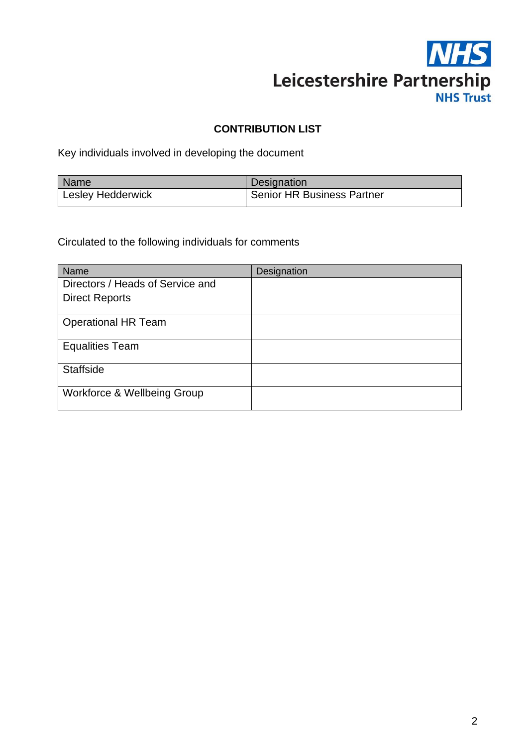

# **CONTRIBUTION LIST**

Key individuals involved in developing the document

| Name                     | Designation                       |
|--------------------------|-----------------------------------|
| <b>Lesley Hedderwick</b> | <b>Senior HR Business Partner</b> |

Circulated to the following individuals for comments

| Name                             | Designation |
|----------------------------------|-------------|
| Directors / Heads of Service and |             |
| <b>Direct Reports</b>            |             |
| <b>Operational HR Team</b>       |             |
| <b>Equalities Team</b>           |             |
| <b>Staffside</b>                 |             |
| Workforce & Wellbeing Group      |             |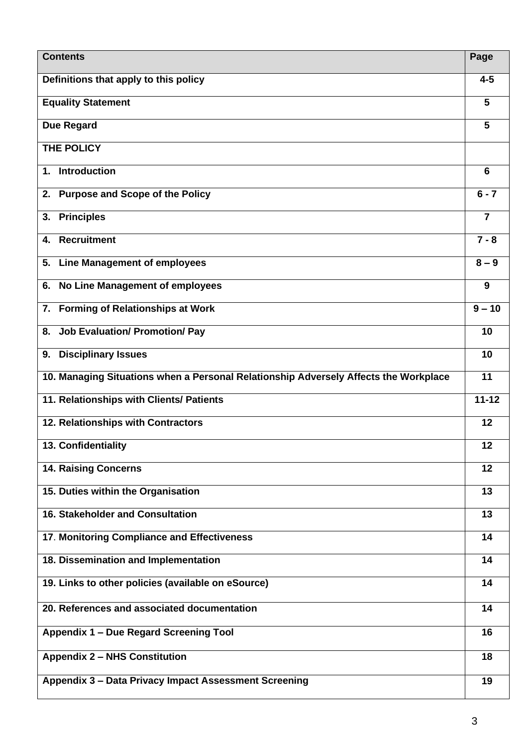| <b>Contents</b>                                                                      | Page           |
|--------------------------------------------------------------------------------------|----------------|
| Definitions that apply to this policy                                                | $4 - 5$        |
| <b>Equality Statement</b>                                                            | 5              |
| <b>Due Regard</b>                                                                    | 5              |
| <b>THE POLICY</b>                                                                    |                |
| <b>Introduction</b><br>1.                                                            | 6              |
| <b>Purpose and Scope of the Policy</b><br>2.                                         | $6 - 7$        |
| <b>Principles</b><br>3.                                                              | $\overline{7}$ |
| <b>Recruitment</b><br>4.                                                             | $7 - 8$        |
| <b>Line Management of employees</b><br>5.                                            | $8 - 9$        |
| No Line Management of employees<br>6.                                                | 9              |
| 7. Forming of Relationships at Work                                                  | $9 - 10$       |
| <b>Job Evaluation/ Promotion/ Pay</b><br>8.                                          | 10             |
| <b>Disciplinary Issues</b><br>9.                                                     | 10             |
| 10. Managing Situations when a Personal Relationship Adversely Affects the Workplace | 11             |
| 11. Relationships with Clients/ Patients                                             | $11 - 12$      |
| 12. Relationships with Contractors                                                   | 12             |
| 13. Confidentiality                                                                  | 12             |
| <b>14. Raising Concerns</b>                                                          | 12             |
| 15. Duties within the Organisation                                                   | 13             |
| <b>16. Stakeholder and Consultation</b>                                              | 13             |
| 17. Monitoring Compliance and Effectiveness                                          | 14             |
| 18. Dissemination and Implementation                                                 | 14             |
| 19. Links to other policies (available on eSource)                                   | 14             |
| 20. References and associated documentation                                          | 14             |
| Appendix 1 - Due Regard Screening Tool                                               | 16             |
| <b>Appendix 2 - NHS Constitution</b>                                                 | 18             |
| Appendix 3 - Data Privacy Impact Assessment Screening                                | 19             |
|                                                                                      |                |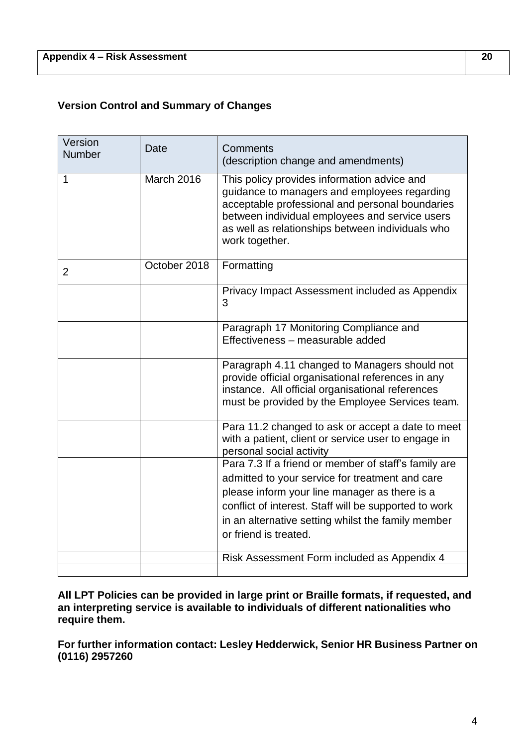# **Version Control and Summary of Changes**

| Version<br><b>Number</b> | Date         | Comments<br>(description change and amendments)                                                                                                                                                                                                                                                  |
|--------------------------|--------------|--------------------------------------------------------------------------------------------------------------------------------------------------------------------------------------------------------------------------------------------------------------------------------------------------|
| 1                        | March 2016   | This policy provides information advice and<br>guidance to managers and employees regarding<br>acceptable professional and personal boundaries<br>between individual employees and service users<br>as well as relationships between individuals who<br>work together.                           |
| $\overline{2}$           | October 2018 | Formatting                                                                                                                                                                                                                                                                                       |
|                          |              | Privacy Impact Assessment included as Appendix<br>3                                                                                                                                                                                                                                              |
|                          |              | Paragraph 17 Monitoring Compliance and<br>Effectiveness - measurable added                                                                                                                                                                                                                       |
|                          |              | Paragraph 4.11 changed to Managers should not<br>provide official organisational references in any<br>instance. All official organisational references<br>must be provided by the Employee Services team.                                                                                        |
|                          |              | Para 11.2 changed to ask or accept a date to meet<br>with a patient, client or service user to engage in<br>personal social activity                                                                                                                                                             |
|                          |              | Para 7.3 If a friend or member of staff's family are<br>admitted to your service for treatment and care<br>please inform your line manager as there is a<br>conflict of interest. Staff will be supported to work<br>in an alternative setting whilst the family member<br>or friend is treated. |
|                          |              | Risk Assessment Form included as Appendix 4                                                                                                                                                                                                                                                      |
|                          |              |                                                                                                                                                                                                                                                                                                  |

**All LPT Policies can be provided in large print or Braille formats, if requested, and an interpreting service is available to individuals of different nationalities who require them.** 

**For further information contact: Lesley Hedderwick, Senior HR Business Partner on (0116) 2957260**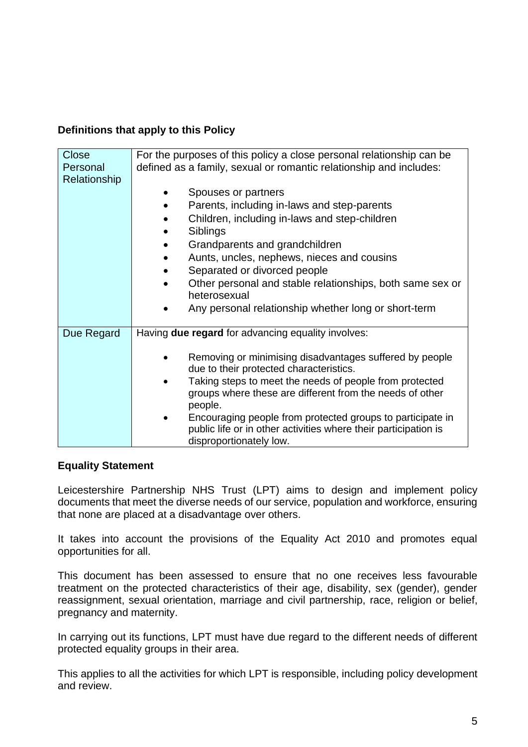# **Definitions that apply to this Policy**

| Close        | For the purposes of this policy a close personal relationship can be                               |
|--------------|----------------------------------------------------------------------------------------------------|
| Personal     | defined as a family, sexual or romantic relationship and includes:                                 |
| Relationship |                                                                                                    |
|              | Spouses or partners                                                                                |
|              | Parents, including in-laws and step-parents                                                        |
|              | Children, including in-laws and step-children                                                      |
|              | Siblings                                                                                           |
|              | Grandparents and grandchildren                                                                     |
|              | Aunts, uncles, nephews, nieces and cousins                                                         |
|              | Separated or divorced people                                                                       |
|              | Other personal and stable relationships, both same sex or<br>heterosexual                          |
|              | Any personal relationship whether long or short-term                                               |
| Due Regard   | Having due regard for advancing equality involves:                                                 |
|              | Removing or minimising disadvantages suffered by people<br>due to their protected characteristics. |
|              | Taking steps to meet the needs of people from protected                                            |
|              | groups where these are different from the needs of other<br>people.                                |
|              | Encouraging people from protected groups to participate in                                         |
|              | public life or in other activities where their participation is<br>disproportionately low.         |

# **Equality Statement**

Leicestershire Partnership NHS Trust (LPT) aims to design and implement policy documents that meet the diverse needs of our service, population and workforce, ensuring that none are placed at a disadvantage over others.

It takes into account the provisions of the Equality Act 2010 and promotes equal opportunities for all.

This document has been assessed to ensure that no one receives less favourable treatment on the protected characteristics of their age, disability, sex (gender), gender reassignment, sexual orientation, marriage and civil partnership, race, religion or belief, pregnancy and maternity.

In carrying out its functions, LPT must have due regard to the different needs of different protected equality groups in their area.

This applies to all the activities for which LPT is responsible, including policy development and review.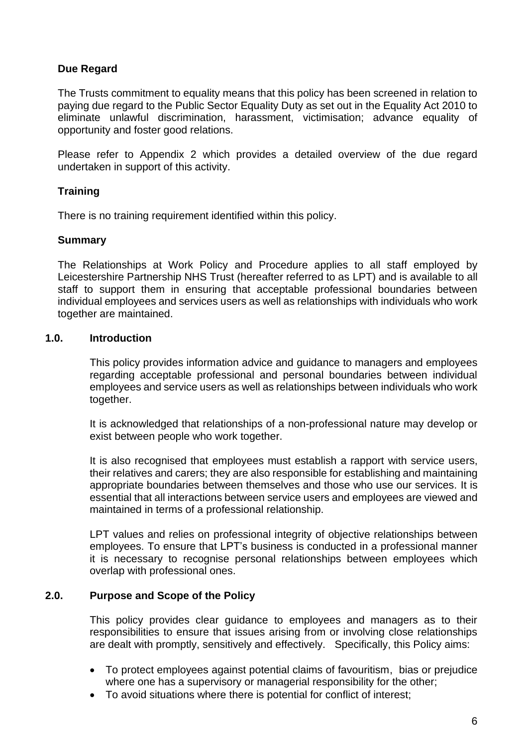# **Due Regard**

The Trusts commitment to equality means that this policy has been screened in relation to paying due regard to the Public Sector Equality Duty as set out in the Equality Act 2010 to eliminate unlawful discrimination, harassment, victimisation; advance equality of opportunity and foster good relations.

Please refer to Appendix 2 which provides a detailed overview of the due regard undertaken in support of this activity.

# **Training**

There is no training requirement identified within this policy.

#### **Summary**

The Relationships at Work Policy and Procedure applies to all staff employed by Leicestershire Partnership NHS Trust (hereafter referred to as LPT) and is available to all staff to support them in ensuring that acceptable professional boundaries between individual employees and services users as well as relationships with individuals who work together are maintained.

#### **1.0. Introduction**

This policy provides information advice and guidance to managers and employees regarding acceptable professional and personal boundaries between individual employees and service users as well as relationships between individuals who work together.

It is acknowledged that relationships of a non-professional nature may develop or exist between people who work together.

It is also recognised that employees must establish a rapport with service users, their relatives and carers; they are also responsible for establishing and maintaining appropriate boundaries between themselves and those who use our services. It is essential that all interactions between service users and employees are viewed and maintained in terms of a professional relationship.

LPT values and relies on professional integrity of objective relationships between employees. To ensure that LPT's business is conducted in a professional manner it is necessary to recognise personal relationships between employees which overlap with professional ones.

#### **2.0. Purpose and Scope of the Policy**

This policy provides clear guidance to employees and managers as to their responsibilities to ensure that issues arising from or involving close relationships are dealt with promptly, sensitively and effectively. Specifically, this Policy aims:

- To protect employees against potential claims of favouritism, bias or prejudice where one has a supervisory or managerial responsibility for the other;
- To avoid situations where there is potential for conflict of interest;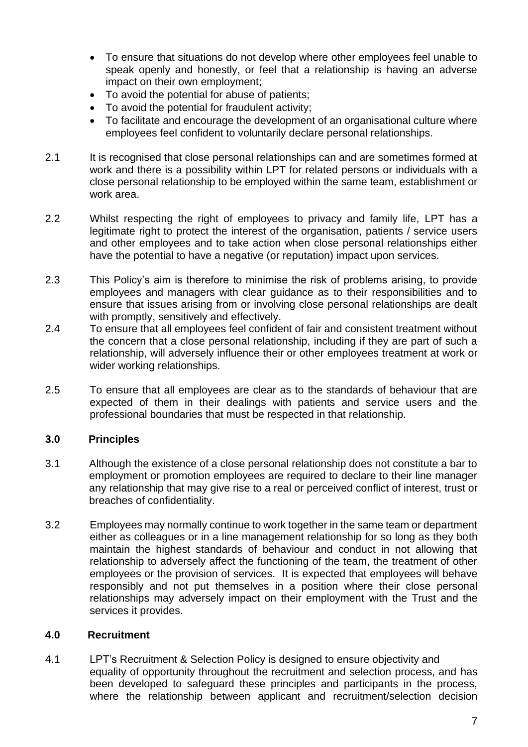- To ensure that situations do not develop where other employees feel unable to speak openly and honestly, or feel that a relationship is having an adverse impact on their own employment;
- To avoid the potential for abuse of patients;
- To avoid the potential for fraudulent activity;
- To facilitate and encourage the development of an organisational culture where employees feel confident to voluntarily declare personal relationships.
- 2.1 It is recognised that close personal relationships can and are sometimes formed at work and there is a possibility within LPT for related persons or individuals with a close personal relationship to be employed within the same team, establishment or work area.
- 2.2 Whilst respecting the right of employees to privacy and family life, LPT has a legitimate right to protect the interest of the organisation, patients / service users and other employees and to take action when close personal relationships either have the potential to have a negative (or reputation) impact upon services.
- 2.3 This Policy's aim is therefore to minimise the risk of problems arising, to provide employees and managers with clear guidance as to their responsibilities and to ensure that issues arising from or involving close personal relationships are dealt with promptly, sensitively and effectively.
- 2.4 To ensure that all employees feel confident of fair and consistent treatment without the concern that a close personal relationship, including if they are part of such a relationship, will adversely influence their or other employees treatment at work or wider working relationships.
- 2.5 To ensure that all employees are clear as to the standards of behaviour that are expected of them in their dealings with patients and service users and the professional boundaries that must be respected in that relationship.

# **3.0 Principles**

- 3.1 Although the existence of a close personal relationship does not constitute a bar to employment or promotion employees are required to declare to their line manager any relationship that may give rise to a real or perceived conflict of interest, trust or breaches of confidentiality.
- 3.2 Employees may normally continue to work together in the same team or department either as colleagues or in a line management relationship for so long as they both maintain the highest standards of behaviour and conduct in not allowing that relationship to adversely affect the functioning of the team, the treatment of other employees or the provision of services. It is expected that employees will behave responsibly and not put themselves in a position where their close personal relationships may adversely impact on their employment with the Trust and the services it provides.

# **4.0 Recruitment**

4.1 LPT's Recruitment & Selection Policy is designed to ensure objectivity and equality of opportunity throughout the recruitment and selection process, and has been developed to safeguard these principles and participants in the process, where the relationship between applicant and recruitment/selection decision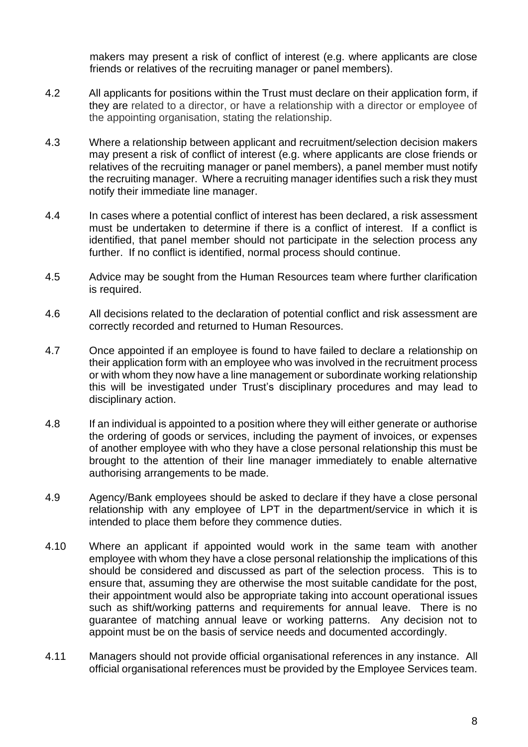makers may present a risk of conflict of interest (e.g. where applicants are close friends or relatives of the recruiting manager or panel members).

- 4.2 All applicants for positions within the Trust must declare on their application form, if they are related to a director, or have a relationship with a director or employee of the appointing organisation, stating the relationship.
- 4.3 Where a relationship between applicant and recruitment/selection decision makers may present a risk of conflict of interest (e.g. where applicants are close friends or relatives of the recruiting manager or panel members), a panel member must notify the recruiting manager. Where a recruiting manager identifies such a risk they must notify their immediate line manager.
- 4.4 In cases where a potential conflict of interest has been declared, a risk assessment must be undertaken to determine if there is a conflict of interest. If a conflict is identified, that panel member should not participate in the selection process any further. If no conflict is identified, normal process should continue.
- 4.5 Advice may be sought from the Human Resources team where further clarification is required.
- 4.6 All decisions related to the declaration of potential conflict and risk assessment are correctly recorded and returned to Human Resources.
- 4.7 Once appointed if an employee is found to have failed to declare a relationship on their application form with an employee who was involved in the recruitment process or with whom they now have a line management or subordinate working relationship this will be investigated under Trust's disciplinary procedures and may lead to disciplinary action.
- 4.8 If an individual is appointed to a position where they will either generate or authorise the ordering of goods or services, including the payment of invoices, or expenses of another employee with who they have a close personal relationship this must be brought to the attention of their line manager immediately to enable alternative authorising arrangements to be made.
- 4.9 Agency/Bank employees should be asked to declare if they have a close personal relationship with any employee of LPT in the department/service in which it is intended to place them before they commence duties.
- 4.10 Where an applicant if appointed would work in the same team with another employee with whom they have a close personal relationship the implications of this should be considered and discussed as part of the selection process. This is to ensure that, assuming they are otherwise the most suitable candidate for the post, their appointment would also be appropriate taking into account operational issues such as shift/working patterns and requirements for annual leave. There is no guarantee of matching annual leave or working patterns. Any decision not to appoint must be on the basis of service needs and documented accordingly.
- 4.11 Managers should not provide official organisational references in any instance. All official organisational references must be provided by the Employee Services team.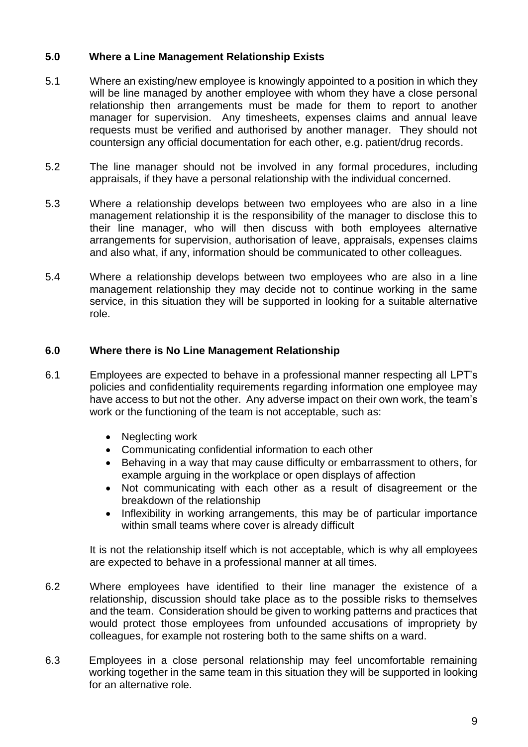# **5.0 Where a Line Management Relationship Exists**

- 5.1 Where an existing/new employee is knowingly appointed to a position in which they will be line managed by another employee with whom they have a close personal relationship then arrangements must be made for them to report to another manager for supervision. Any timesheets, expenses claims and annual leave requests must be verified and authorised by another manager. They should not countersign any official documentation for each other, e.g. patient/drug records.
- 5.2 The line manager should not be involved in any formal procedures, including appraisals, if they have a personal relationship with the individual concerned.
- 5.3 Where a relationship develops between two employees who are also in a line management relationship it is the responsibility of the manager to disclose this to their line manager, who will then discuss with both employees alternative arrangements for supervision, authorisation of leave, appraisals, expenses claims and also what, if any, information should be communicated to other colleagues.
- 5.4 Where a relationship develops between two employees who are also in a line management relationship they may decide not to continue working in the same service, in this situation they will be supported in looking for a suitable alternative role.

#### **6.0 Where there is No Line Management Relationship**

- 6.1 Employees are expected to behave in a professional manner respecting all LPT's policies and confidentiality requirements regarding information one employee may have access to but not the other. Any adverse impact on their own work, the team's work or the functioning of the team is not acceptable, such as:
	- Neglecting work
	- Communicating confidential information to each other
	- Behaving in a way that may cause difficulty or embarrassment to others, for example arguing in the workplace or open displays of affection
	- Not communicating with each other as a result of disagreement or the breakdown of the relationship
	- Inflexibility in working arrangements, this may be of particular importance within small teams where cover is already difficult

It is not the relationship itself which is not acceptable, which is why all employees are expected to behave in a professional manner at all times.

- 6.2 Where employees have identified to their line manager the existence of a relationship, discussion should take place as to the possible risks to themselves and the team. Consideration should be given to working patterns and practices that would protect those employees from unfounded accusations of impropriety by colleagues, for example not rostering both to the same shifts on a ward.
- 6.3 Employees in a close personal relationship may feel uncomfortable remaining working together in the same team in this situation they will be supported in looking for an alternative role.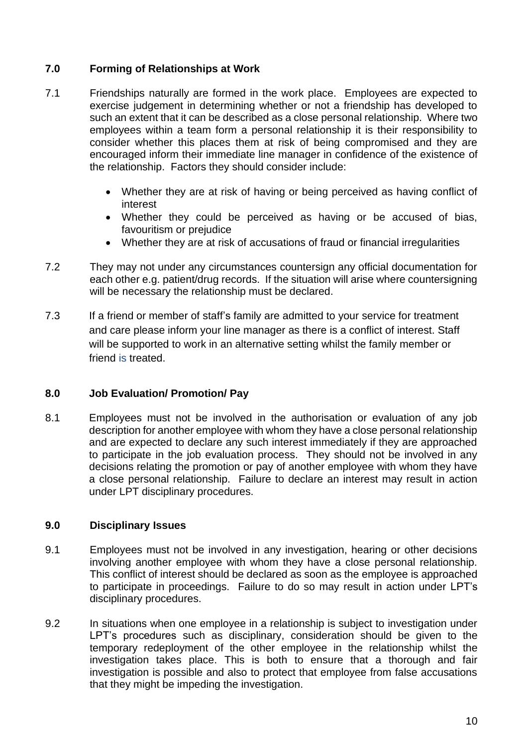# **7.0 Forming of Relationships at Work**

- 7.1 Friendships naturally are formed in the work place. Employees are expected to exercise judgement in determining whether or not a friendship has developed to such an extent that it can be described as a close personal relationship. Where two employees within a team form a personal relationship it is their responsibility to consider whether this places them at risk of being compromised and they are encouraged inform their immediate line manager in confidence of the existence of the relationship. Factors they should consider include:
	- Whether they are at risk of having or being perceived as having conflict of interest
	- Whether they could be perceived as having or be accused of bias, favouritism or prejudice
	- Whether they are at risk of accusations of fraud or financial irregularities
- 7.2 They may not under any circumstances countersign any official documentation for each other e.g. patient/drug records. If the situation will arise where countersigning will be necessary the relationship must be declared.
- 7.3 If a friend or member of staff's family are admitted to your service for treatment and care please inform your line manager as there is a conflict of interest. Staff will be supported to work in an alternative setting whilst the family member or friend is treated.

#### **8.0 Job Evaluation/ Promotion/ Pay**

8.1 Employees must not be involved in the authorisation or evaluation of any job description for another employee with whom they have a close personal relationship and are expected to declare any such interest immediately if they are approached to participate in the job evaluation process. They should not be involved in any decisions relating the promotion or pay of another employee with whom they have a close personal relationship. Failure to declare an interest may result in action under LPT disciplinary procedures.

# **9.0 Disciplinary Issues**

- 9.1 Employees must not be involved in any investigation, hearing or other decisions involving another employee with whom they have a close personal relationship. This conflict of interest should be declared as soon as the employee is approached to participate in proceedings. Failure to do so may result in action under LPT's disciplinary procedures.
- 9.2 In situations when one employee in a relationship is subject to investigation under LPT's procedures such as disciplinary, consideration should be given to the temporary redeployment of the other employee in the relationship whilst the investigation takes place. This is both to ensure that a thorough and fair investigation is possible and also to protect that employee from false accusations that they might be impeding the investigation.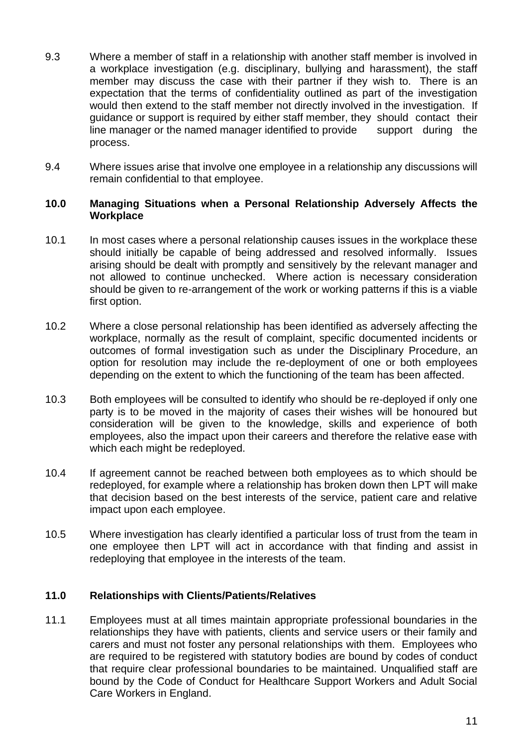- 9.3 Where a member of staff in a relationship with another staff member is involved in a workplace investigation (e.g. disciplinary, bullying and harassment), the staff member may discuss the case with their partner if they wish to. There is an expectation that the terms of confidentiality outlined as part of the investigation would then extend to the staff member not directly involved in the investigation. If guidance or support is required by either staff member, they should contact their line manager or the named manager identified to provide support during the process.
- 9.4 Where issues arise that involve one employee in a relationship any discussions will remain confidential to that employee.

#### **10.0 Managing Situations when a Personal Relationship Adversely Affects the Workplace**

- 10.1 In most cases where a personal relationship causes issues in the workplace these should initially be capable of being addressed and resolved informally. Issues arising should be dealt with promptly and sensitively by the relevant manager and not allowed to continue unchecked. Where action is necessary consideration should be given to re-arrangement of the work or working patterns if this is a viable first option.
- 10.2 Where a close personal relationship has been identified as adversely affecting the workplace, normally as the result of complaint, specific documented incidents or outcomes of formal investigation such as under the Disciplinary Procedure, an option for resolution may include the re-deployment of one or both employees depending on the extent to which the functioning of the team has been affected.
- 10.3 Both employees will be consulted to identify who should be re-deployed if only one party is to be moved in the majority of cases their wishes will be honoured but consideration will be given to the knowledge, skills and experience of both employees, also the impact upon their careers and therefore the relative ease with which each might be redeployed.
- 10.4 If agreement cannot be reached between both employees as to which should be redeployed, for example where a relationship has broken down then LPT will make that decision based on the best interests of the service, patient care and relative impact upon each employee.
- 10.5 Where investigation has clearly identified a particular loss of trust from the team in one employee then LPT will act in accordance with that finding and assist in redeploying that employee in the interests of the team.

#### **11.0 Relationships with Clients/Patients/Relatives**

11.1 Employees must at all times maintain appropriate professional boundaries in the relationships they have with patients, clients and service users or their family and carers and must not foster any personal relationships with them. Employees who are required to be registered with statutory bodies are bound by codes of conduct that require clear professional boundaries to be maintained. Unqualified staff are bound by the Code of Conduct for Healthcare Support Workers and Adult Social Care Workers in England.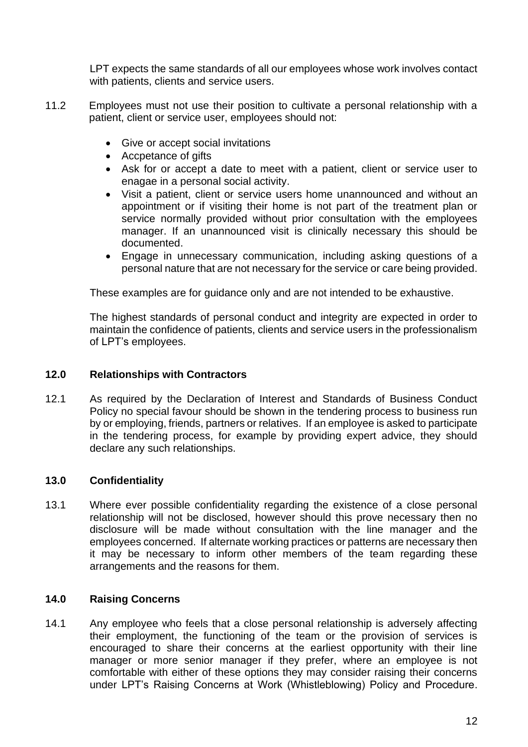LPT expects the same standards of all our employees whose work involves contact with patients, clients and service users.

- 11.2 Employees must not use their position to cultivate a personal relationship with a patient, client or service user, employees should not:
	- Give or accept social invitations
	- Accpetance of gifts
	- Ask for or accept a date to meet with a patient, client or service user to enagae in a personal social activity.
	- Visit a patient, client or service users home unannounced and without an appointment or if visiting their home is not part of the treatment plan or service normally provided without prior consultation with the employees manager. If an unannounced visit is clinically necessary this should be documented.
	- Engage in unnecessary communication, including asking questions of a personal nature that are not necessary for the service or care being provided.

These examples are for guidance only and are not intended to be exhaustive.

The highest standards of personal conduct and integrity are expected in order to maintain the confidence of patients, clients and service users in the professionalism of LPT's employees.

#### **12.0 Relationships with Contractors**

12.1 As required by the Declaration of Interest and Standards of Business Conduct Policy no special favour should be shown in the tendering process to business run by or employing, friends, partners or relatives. If an employee is asked to participate in the tendering process, for example by providing expert advice, they should declare any such relationships.

# **13.0 Confidentiality**

13.1 Where ever possible confidentiality regarding the existence of a close personal relationship will not be disclosed, however should this prove necessary then no disclosure will be made without consultation with the line manager and the employees concerned. If alternate working practices or patterns are necessary then it may be necessary to inform other members of the team regarding these arrangements and the reasons for them.

# **14.0 Raising Concerns**

14.1 Any employee who feels that a close personal relationship is adversely affecting their employment, the functioning of the team or the provision of services is encouraged to share their concerns at the earliest opportunity with their line manager or more senior manager if they prefer, where an employee is not comfortable with either of these options they may consider raising their concerns under LPT's Raising Concerns at Work (Whistleblowing) Policy and Procedure.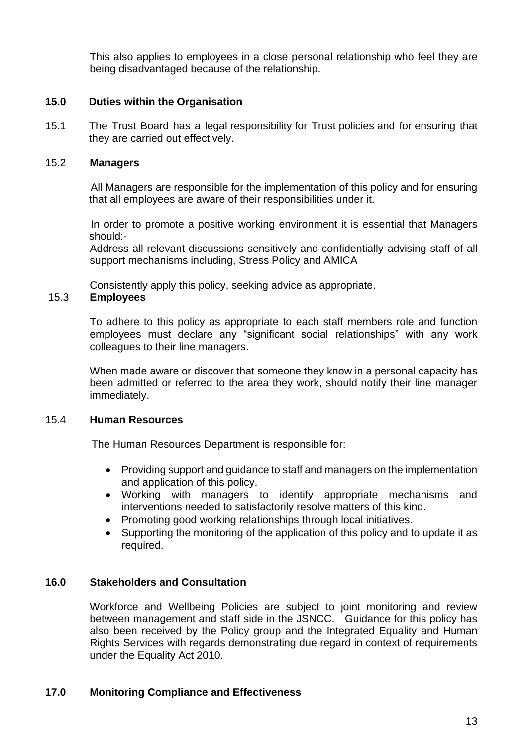This also applies to employees in a close personal relationship who feel they are being disadvantaged because of the relationship.

## **15.0 Duties within the Organisation**

15.1 The Trust Board has a legal responsibility for Trust policies and for ensuring that they are carried out effectively.

#### 15.2 **Managers**

 All Managers are responsible for the implementation of this policy and for ensuring that all employees are aware of their responsibilities under it.

 In order to promote a positive working environment it is essential that Managers should:-

Address all relevant discussions sensitively and confidentially advising staff of all support mechanisms including, Stress Policy and AMICA

Consistently apply this policy, seeking advice as appropriate.

#### 15.3 **Employees**

To adhere to this policy as appropriate to each staff members role and function employees must declare any "significant social relationships" with any work colleagues to their line managers.

When made aware or discover that someone they know in a personal capacity has been admitted or referred to the area they work, should notify their line manager immediately.

#### 15.4 **Human Resources**

The Human Resources Department is responsible for:

- Providing support and guidance to staff and managers on the implementation and application of this policy.
- Working with managers to identify appropriate mechanisms and interventions needed to satisfactorily resolve matters of this kind.
- Promoting good working relationships through local initiatives.
- Supporting the monitoring of the application of this policy and to update it as required.

#### **16.0 Stakeholders and Consultation**

Workforce and Wellbeing Policies are subject to joint monitoring and review between management and staff side in the JSNCC. Guidance for this policy has also been received by the Policy group and the Integrated Equality and Human Rights Services with regards demonstrating due regard in context of requirements under the Equality Act 2010.

#### **17.0 Monitoring Compliance and Effectiveness**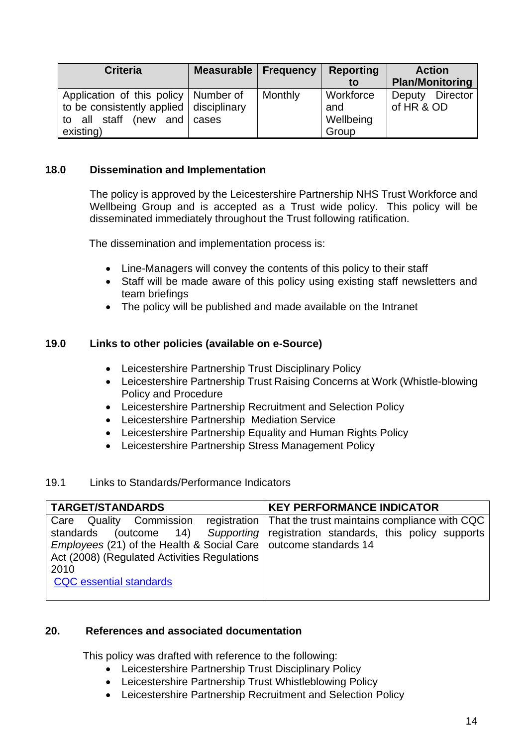| <b>Criteria</b>                                                                                                                     | Measurable   Frequency |         | <b>Reporting</b>                       | <b>Action</b>                 |
|-------------------------------------------------------------------------------------------------------------------------------------|------------------------|---------|----------------------------------------|-------------------------------|
|                                                                                                                                     |                        |         | to                                     | <b>Plan/Monitoring</b>        |
| Application of this policy   Number of<br>to be consistently applied   disciplinary<br>(new and cases)<br>to all staff<br>existing) |                        | Monthly | Workforce<br>and<br>Wellbeing<br>Group | Deputy Director<br>of HR & OD |

#### **18.0 Dissemination and Implementation**

The policy is approved by the Leicestershire Partnership NHS Trust Workforce and Wellbeing Group and is accepted as a Trust wide policy. This policy will be disseminated immediately throughout the Trust following ratification.

The dissemination and implementation process is:

- Line-Managers will convey the contents of this policy to their staff
- Staff will be made aware of this policy using existing staff newsletters and team briefings
- The policy will be published and made available on the Intranet

#### **19.0 Links to other policies (available on e-Source)**

- Leicestershire Partnership Trust Disciplinary Policy
- Leicestershire Partnership Trust Raising Concerns at Work (Whistle-blowing Policy and Procedure
- Leicestershire Partnership Recruitment and Selection Policy
- Leicestershire Partnership Mediation Service
- Leicestershire Partnership Equality and Human Rights Policy
- Leicestershire Partnership Stress Management Policy

#### 19.1 Links to Standards/Performance Indicators

| <b>TARGET/STANDARDS</b>                                                                                                                                                                                              | <b>KEY PERFORMANCE INDICATOR</b>                                                                                                    |  |  |
|----------------------------------------------------------------------------------------------------------------------------------------------------------------------------------------------------------------------|-------------------------------------------------------------------------------------------------------------------------------------|--|--|
| <b>Quality Commission</b><br>Care<br>standards<br><i>Employees</i> (21) of the Health & Social Care   outcome standards 14<br>Act (2008) (Regulated Activities Regulations<br>2010<br><b>CQC</b> essential standards | registration   That the trust maintains compliance with CQC<br>(outcome 14) Supporting registration standards, this policy supports |  |  |

#### **20. References and associated documentation**

This policy was drafted with reference to the following:

- Leicestershire Partnership Trust Disciplinary Policy
- Leicestershire Partnership Trust Whistleblowing Policy
- Leicestershire Partnership Recruitment and Selection Policy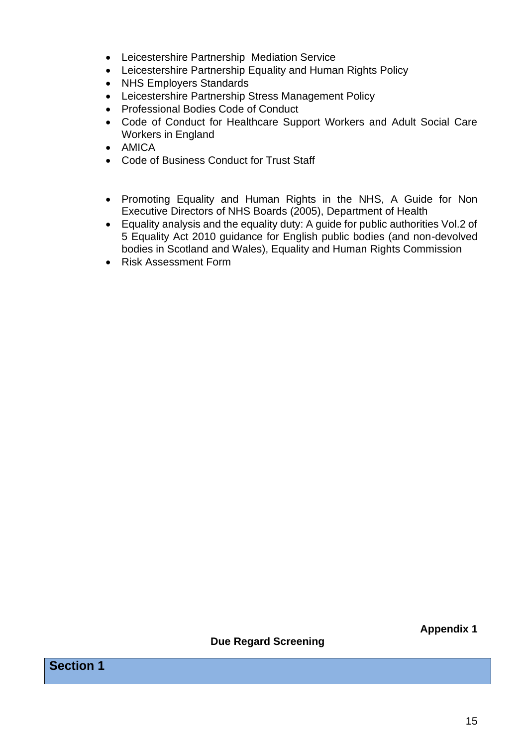- Leicestershire Partnership Mediation Service
- Leicestershire Partnership Equality and Human Rights Policy
- NHS Employers Standards
- Leicestershire Partnership Stress Management Policy
- Professional Bodies Code of Conduct
- Code of Conduct for Healthcare Support Workers and Adult Social Care Workers in England
- AMICA
- Code of Business Conduct for Trust Staff
- Promoting Equality and Human Rights in the NHS, A Guide for Non Executive Directors of NHS Boards (2005), Department of Health
- Equality analysis and the equality duty: A guide for public authorities Vol.2 of 5 Equality Act 2010 guidance for English public bodies (and non-devolved bodies in Scotland and Wales), Equality and Human Rights Commission
- Risk Assessment Form

**Appendix 1**

**Due Regard Screening**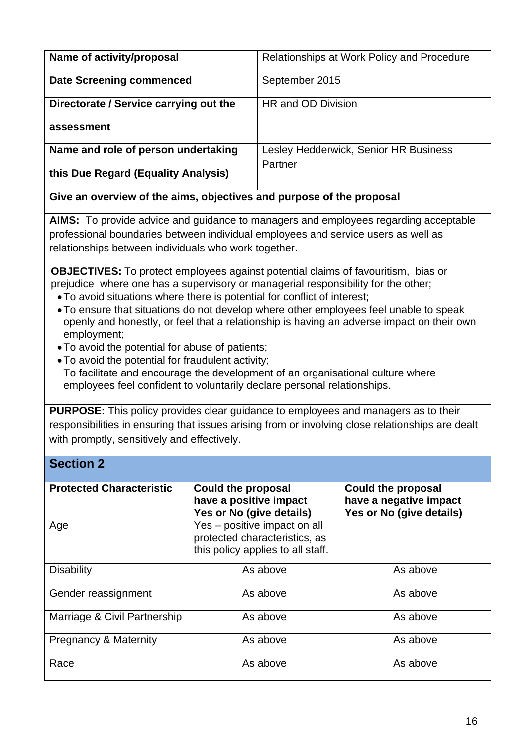| Name of activity/proposal              | Relationships at Work Policy and Procedure |
|----------------------------------------|--------------------------------------------|
| <b>Date Screening commenced</b>        | September 2015                             |
| Directorate / Service carrying out the | HR and OD Division                         |
| assessment                             |                                            |
| Name and role of person undertaking    | Lesley Hedderwick, Senior HR Business      |
| this Due Regard (Equality Analysis)    | Partner                                    |

**Give an overview of the aims, objectives and purpose of the proposal**

**AIMS:** To provide advice and guidance to managers and employees regarding acceptable professional boundaries between individual employees and service users as well as relationships between individuals who work together.

**OBJECTIVES:** To protect employees against potential claims of favouritism, bias or prejudice where one has a supervisory or managerial responsibility for the other;

- •To avoid situations where there is potential for conflict of interest;
- •To ensure that situations do not develop where other employees feel unable to speak openly and honestly, or feel that a relationship is having an adverse impact on their own employment;
- •To avoid the potential for abuse of patients;
- •To avoid the potential for fraudulent activity;

**Section 2**

• To facilitate and encourage the development of an organisational culture where employees feel confident to voluntarily declare personal relationships.

**PURPOSE:** This policy provides clear guidance to employees and managers as to their responsibilities in ensuring that issues arising from or involving close relationships are dealt with promptly, sensitively and effectively.

| UUULIVII A                      |                                                                                                    |                                                                                 |
|---------------------------------|----------------------------------------------------------------------------------------------------|---------------------------------------------------------------------------------|
| <b>Protected Characteristic</b> | <b>Could the proposal</b><br>have a positive impact<br>Yes or No (give details)                    | <b>Could the proposal</b><br>have a negative impact<br>Yes or No (give details) |
| Age                             | Yes – positive impact on all<br>protected characteristics, as<br>this policy applies to all staff. |                                                                                 |
| <b>Disability</b>               | As above                                                                                           | As above                                                                        |
| Gender reassignment             | As above                                                                                           | As above                                                                        |
| Marriage & Civil Partnership    | As above                                                                                           | As above                                                                        |
| Pregnancy & Maternity           | As above                                                                                           | As above                                                                        |
| Race                            | As above                                                                                           | As above                                                                        |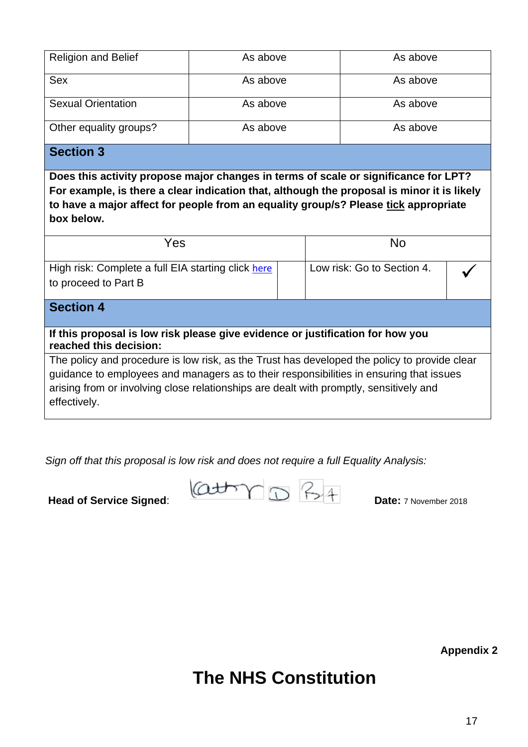| <b>Religion and Belief</b> | As above | As above |
|----------------------------|----------|----------|
| Sex                        | As above | As above |
| <b>Sexual Orientation</b>  | As above | As above |
| Other equality groups?     | As above | As above |

# **Section 3**

**Does this activity propose major changes in terms of scale or significance for LPT? For example, is there a clear indication that, although the proposal is minor it is likely to have a major affect for people from an equality group/s? Please tick appropriate box below.** 

| Yes                                                                            |  | No                         |  |
|--------------------------------------------------------------------------------|--|----------------------------|--|
| High risk: Complete a full EIA starting click here<br>to proceed to Part B     |  | Low risk: Go to Section 4. |  |
| <b>Section 4</b>                                                               |  |                            |  |
| If this proposal is low risk please give evidence or justification for how you |  |                            |  |

**reached this decision:** The policy and procedure is low risk, as the Trust has developed the policy to provide clear guidance to employees and managers as to their responsibilities in ensuring that issues arising from or involving close relationships are dealt with promptly, sensitively and effectively.

*Sign off that this proposal is low risk and does not require a full Equality Analysis:*

**Head of Service Signed:**  $\begin{matrix} (Q \downarrow d \rightarrow \ \cap \ \cap \ \cap \ \cap \ \cap \ \cap \ \cap \end{matrix}$   $\begin{matrix} P_{\rightarrow} & A \\ & \text{Date: } \end{matrix}$   $\begin{matrix} \text{D} & \text{D} & \text{D} & \text{D} & \text{D} \end{matrix}$ 

**Appendix 2**

**The NHS Constitution**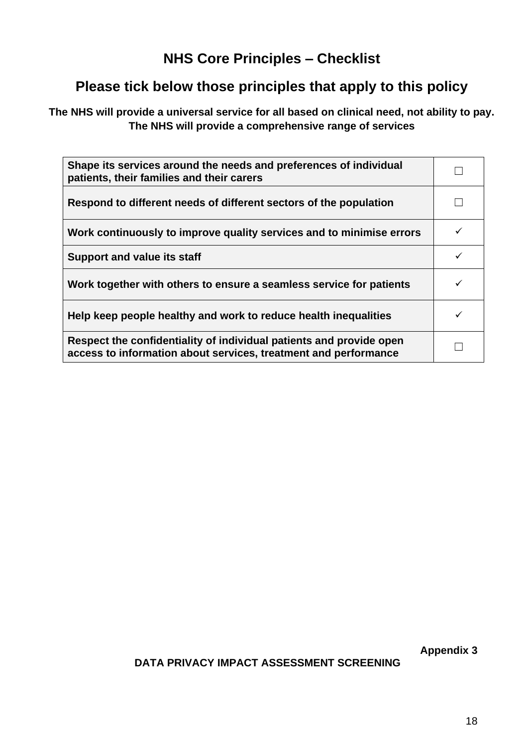# **NHS Core Principles – Checklist**

# **Please tick below those principles that apply to this policy**

**The NHS will provide a universal service for all based on clinical need, not ability to pay. The NHS will provide a comprehensive range of services**

| Shape its services around the needs and preferences of individual<br>patients, their families and their carers                         |  |
|----------------------------------------------------------------------------------------------------------------------------------------|--|
| Respond to different needs of different sectors of the population                                                                      |  |
| Work continuously to improve quality services and to minimise errors                                                                   |  |
| <b>Support and value its staff</b>                                                                                                     |  |
| Work together with others to ensure a seamless service for patients                                                                    |  |
| Help keep people healthy and work to reduce health inequalities                                                                        |  |
| Respect the confidentiality of individual patients and provide open<br>access to information about services, treatment and performance |  |

**Appendix 3**

**DATA PRIVACY IMPACT ASSESSMENT SCREENING**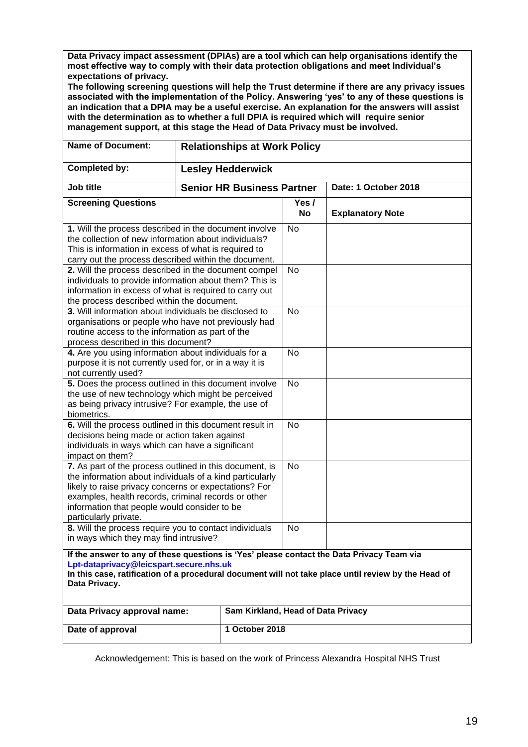**Data Privacy impact assessment (DPIAs) are a tool which can help organisations identify the most effective way to comply with their data protection obligations and meet Individual's expectations of privacy.** 

**The following screening questions will help the Trust determine if there are any privacy issues associated with the implementation of the Policy. Answering 'yes' to any of these questions is an indication that a DPIA may be a useful exercise. An explanation for the answers will assist with the determination as to whether a full DPIA is required which will require senior management support, at this stage the Head of Data Privacy must be involved.**

| <b>Name of Document:</b>                                                                                                                                                                                                                                                                                     | <b>Relationships at Work Policy</b> |                                    |                    |                         |
|--------------------------------------------------------------------------------------------------------------------------------------------------------------------------------------------------------------------------------------------------------------------------------------------------------------|-------------------------------------|------------------------------------|--------------------|-------------------------|
| <b>Completed by:</b>                                                                                                                                                                                                                                                                                         |                                     | <b>Lesley Hedderwick</b>           |                    |                         |
| Job title                                                                                                                                                                                                                                                                                                    |                                     | <b>Senior HR Business Partner</b>  |                    | Date: 1 October 2018    |
| <b>Screening Questions</b>                                                                                                                                                                                                                                                                                   |                                     |                                    | Yes /<br><b>No</b> | <b>Explanatory Note</b> |
| 1. Will the process described in the document involve<br>the collection of new information about individuals?<br>This is information in excess of what is required to<br>carry out the process described within the document.                                                                                |                                     | <b>No</b>                          |                    |                         |
| 2. Will the process described in the document compel<br>individuals to provide information about them? This is<br>information in excess of what is required to carry out<br>the process described within the document.                                                                                       |                                     |                                    | <b>No</b>          |                         |
| 3. Will information about individuals be disclosed to<br>organisations or people who have not previously had<br>routine access to the information as part of the<br>process described in this document?                                                                                                      |                                     |                                    | <b>No</b>          |                         |
| 4. Are you using information about individuals for a<br>purpose it is not currently used for, or in a way it is<br>not currently used?                                                                                                                                                                       |                                     |                                    | No                 |                         |
| 5. Does the process outlined in this document involve<br>the use of new technology which might be perceived<br>as being privacy intrusive? For example, the use of<br>biometrics.                                                                                                                            |                                     | <b>No</b>                          |                    |                         |
| 6. Will the process outlined in this document result in<br>decisions being made or action taken against<br>individuals in ways which can have a significant<br>impact on them?                                                                                                                               |                                     | <b>No</b>                          |                    |                         |
| 7. As part of the process outlined in this document, is<br>the information about individuals of a kind particularly<br>likely to raise privacy concerns or expectations? For<br>examples, health records, criminal records or other<br>information that people would consider to be<br>particularly private. |                                     |                                    | No                 |                         |
| 8. Will the process require you to contact individuals<br>in ways which they may find intrusive?                                                                                                                                                                                                             |                                     |                                    | <b>No</b>          |                         |
| If the answer to any of these questions is 'Yes' please contact the Data Privacy Team via<br>Lpt-dataprivacy@leicspart.secure.nhs.uk<br>In this case, ratification of a procedural document will not take place until review by the Head of<br>Data Privacy.                                                 |                                     |                                    |                    |                         |
| Data Privacy approval name:                                                                                                                                                                                                                                                                                  |                                     | Sam Kirkland, Head of Data Privacy |                    |                         |
| Date of approval                                                                                                                                                                                                                                                                                             |                                     | 1 October 2018                     |                    |                         |

Acknowledgement: This is based on the work of Princess Alexandra Hospital NHS Trust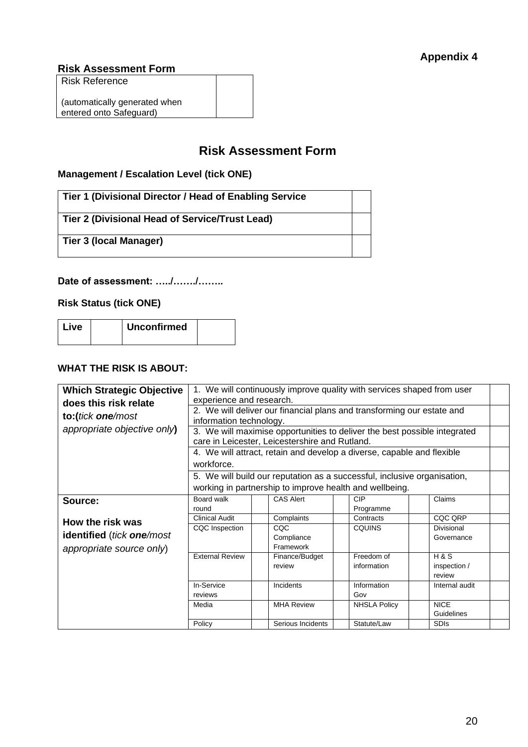#### **Risk Assessment Form**

Risk Reference

(automatically generated when entered onto Safeguard)

# **Risk Assessment Form**

## **Management / Escalation Level (tick ONE)**

| Tier 1 (Divisional Director / Head of Enabling Service |  |
|--------------------------------------------------------|--|
| Tier 2 (Divisional Head of Service/Trust Lead)         |  |
| Tier 3 (local Manager)                                 |  |

## **Date of assessment: …../……./……..**

**Risk Status (tick ONE)**

| <b>Unconfirmed</b><br>l Live |
|------------------------------|
|------------------------------|

#### **WHAT THE RISK IS ABOUT:**

| <b>Which Strategic Objective</b>           |                                                                                                                             |                                                                          | 1. We will continuously improve quality with services shaped from user |                |  |  |
|--------------------------------------------|-----------------------------------------------------------------------------------------------------------------------------|--------------------------------------------------------------------------|------------------------------------------------------------------------|----------------|--|--|
|                                            | experience and research.                                                                                                    |                                                                          |                                                                        |                |  |  |
| does this risk relate<br>to:(tick one/most | 2. We will deliver our financial plans and transforming our estate and<br>information technology.                           |                                                                          |                                                                        |                |  |  |
| appropriate objective only)                | 3. We will maximise opportunities to deliver the best possible integrated<br>care in Leicester, Leicestershire and Rutland. |                                                                          |                                                                        |                |  |  |
|                                            |                                                                                                                             |                                                                          |                                                                        |                |  |  |
|                                            |                                                                                                                             |                                                                          | 4. We will attract, retain and develop a diverse, capable and flexible |                |  |  |
|                                            | workforce.                                                                                                                  |                                                                          |                                                                        |                |  |  |
|                                            |                                                                                                                             | 5. We will build our reputation as a successful, inclusive organisation, |                                                                        |                |  |  |
|                                            |                                                                                                                             | working in partnership to improve health and wellbeing.                  |                                                                        |                |  |  |
| Source:                                    | Board walk                                                                                                                  | <b>CAS Alert</b>                                                         | <b>CIP</b>                                                             | Claims         |  |  |
|                                            | round                                                                                                                       |                                                                          | Programme                                                              |                |  |  |
| How the risk was                           | <b>Clinical Audit</b>                                                                                                       | Complaints                                                               | Contracts                                                              | CQC QRP        |  |  |
|                                            | CQC Inspection                                                                                                              | <b>CQC</b>                                                               | <b>CQUINS</b>                                                          | Divisional     |  |  |
| <b>identified</b> (tick one/most           |                                                                                                                             | Compliance                                                               |                                                                        | Governance     |  |  |
| appropriate source only)                   |                                                                                                                             | Framework                                                                |                                                                        |                |  |  |
|                                            | <b>External Review</b>                                                                                                      | Finance/Budget                                                           | Freedom of                                                             | <b>H&amp;S</b> |  |  |
|                                            |                                                                                                                             | review                                                                   | information                                                            | inspection /   |  |  |
|                                            |                                                                                                                             |                                                                          |                                                                        | review         |  |  |
|                                            | In-Service                                                                                                                  | Incidents                                                                | Information                                                            | Internal audit |  |  |
|                                            | reviews                                                                                                                     |                                                                          | Gov                                                                    |                |  |  |
|                                            | Media                                                                                                                       | <b>MHA Review</b>                                                        | <b>NHSLA Policy</b>                                                    | <b>NICE</b>    |  |  |
|                                            |                                                                                                                             |                                                                          |                                                                        | Guidelines     |  |  |
|                                            | Policy                                                                                                                      | Serious Incidents                                                        | Statute/Law                                                            | <b>SDIs</b>    |  |  |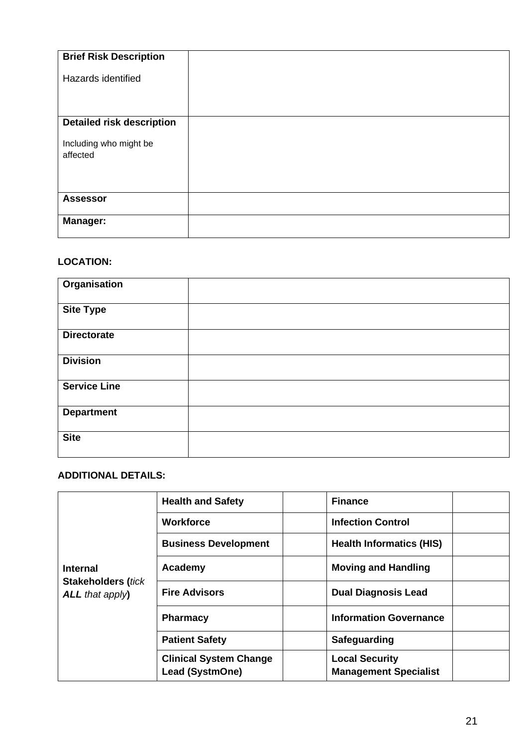| <b>Brief Risk Description</b>    |  |
|----------------------------------|--|
|                                  |  |
|                                  |  |
| Hazards identified               |  |
|                                  |  |
|                                  |  |
|                                  |  |
|                                  |  |
|                                  |  |
| <b>Detailed risk description</b> |  |
|                                  |  |
| Including who might be           |  |
|                                  |  |
| affected                         |  |
|                                  |  |
|                                  |  |
|                                  |  |
|                                  |  |
|                                  |  |
| <b>Assessor</b>                  |  |
|                                  |  |
|                                  |  |
| <b>Manager:</b>                  |  |
|                                  |  |
|                                  |  |

# **LOCATION:**

| <b>Organisation</b> |  |
|---------------------|--|
| <b>Site Type</b>    |  |
| <b>Directorate</b>  |  |
| <b>Division</b>     |  |
| <b>Service Line</b> |  |
| <b>Department</b>   |  |
| <b>Site</b>         |  |

# **ADDITIONAL DETAILS:**

| <b>Internal</b><br><b>Stakeholders (tick</b><br>$ALL$ that apply $)$ | <b>Health and Safety</b>                                | <b>Finance</b>                                        |
|----------------------------------------------------------------------|---------------------------------------------------------|-------------------------------------------------------|
|                                                                      | <b>Workforce</b>                                        | <b>Infection Control</b>                              |
|                                                                      | <b>Business Development</b>                             | <b>Health Informatics (HIS)</b>                       |
|                                                                      | Academy                                                 | <b>Moving and Handling</b>                            |
|                                                                      | <b>Fire Advisors</b>                                    | <b>Dual Diagnosis Lead</b>                            |
|                                                                      | <b>Pharmacy</b>                                         | <b>Information Governance</b>                         |
|                                                                      | <b>Patient Safety</b>                                   | Safeguarding                                          |
|                                                                      | <b>Clinical System Change</b><br><b>Lead (SystmOne)</b> | <b>Local Security</b><br><b>Management Specialist</b> |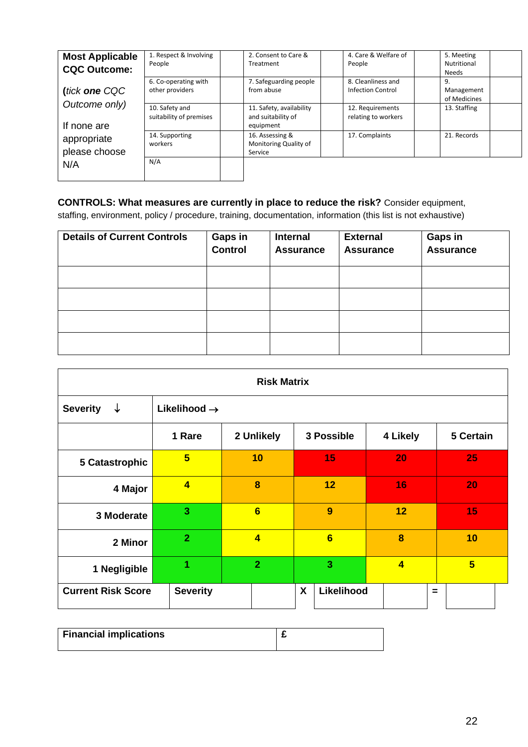| <b>Most Applicable</b><br><b>CQC Outcome:</b> | 1. Respect & Involving<br>People          | 2. Consent to Care &<br>Treatment                           | 4. Care & Welfare of<br>People          | 5. Meeting<br>Nutritional<br><b>Needs</b> |
|-----------------------------------------------|-------------------------------------------|-------------------------------------------------------------|-----------------------------------------|-------------------------------------------|
| (tick one CQC                                 | 6. Co-operating with<br>other providers   | 7. Safeguarding people<br>from abuse                        | 8. Cleanliness and<br>Infection Control | 9.<br>Management<br>of Medicines          |
| Outcome only)<br>If none are                  | 10. Safety and<br>suitability of premises | 11. Safety, availability<br>and suitability of<br>equipment | 12. Requirements<br>relating to workers | 13. Staffing                              |
| appropriate<br>please choose                  | 14. Supporting<br>workers                 | 16. Assessing &<br>Monitoring Quality of<br>Service         | 17. Complaints                          | 21. Records                               |
| N/A                                           | N/A                                       |                                                             |                                         |                                           |

# **CONTROLS: What measures are currently in place to reduce the risk?** Consider equipment,

staffing, environment, policy / procedure, training, documentation, information (this list is not exhaustive)

| <b>Details of Current Controls</b> | Gaps in<br><b>Control</b> | <b>Internal</b><br><b>Assurance</b> | <b>External</b><br><b>Assurance</b> | <b>Gaps in</b><br><b>Assurance</b> |
|------------------------------------|---------------------------|-------------------------------------|-------------------------------------|------------------------------------|
|                                    |                           |                                     |                                     |                                    |
|                                    |                           |                                     |                                     |                                    |
|                                    |                           |                                     |                                     |                                    |
|                                    |                           |                                     |                                     |                                    |

| <b>Risk Matrix</b>        |                          |                |                 |                |                 |
|---------------------------|--------------------------|----------------|-----------------|----------------|-----------------|
| <b>Severity</b><br>↓      | Likelihood $\rightarrow$ |                |                 |                |                 |
|                           | 1 Rare                   | 2 Unlikely     | 3 Possible      | 4 Likely       | 5 Certain       |
| 5 Catastrophic            | $5\overline{5}$          | 10             | 15              | 20             | 25              |
| 4 Major                   | $\overline{\mathbf{4}}$  | 8              | 12              | 16             | 20              |
| 3 Moderate                | $\overline{\mathbf{3}}$  | 6              | 9               | 12             | 15              |
| 2 Minor                   | $\overline{2}$           | $\overline{4}$ | $6\phantom{1}$  | 8              | 10              |
| 1 Negligible              | 1                        | $\overline{2}$ | 3               | $\overline{4}$ | $5\overline{)}$ |
| <b>Current Risk Score</b> | <b>Severity</b>          |                | Likelihood<br>X |                | $\equiv$        |

| <b>Financial implications</b> |  |
|-------------------------------|--|
|                               |  |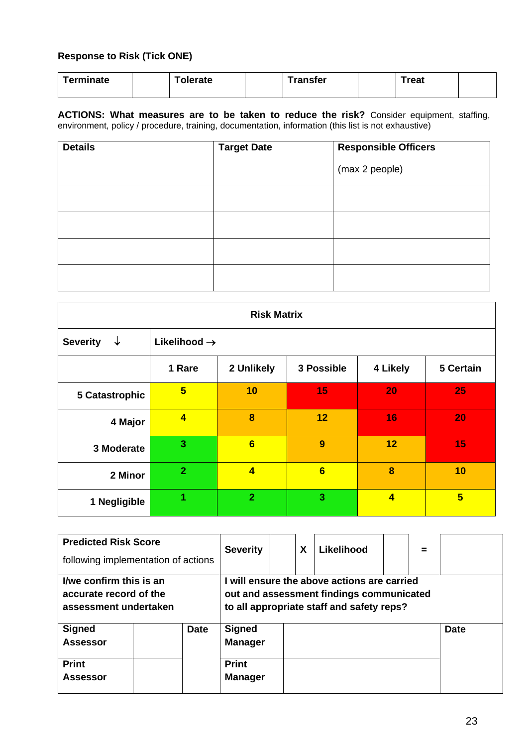# **Response to Risk (Tick ONE)**

|  | Terminate |  | Tolerate |  | $\tau$ ransfer |  | `reat |  |
|--|-----------|--|----------|--|----------------|--|-------|--|
|--|-----------|--|----------|--|----------------|--|-------|--|

**ACTIONS: What measures are to be taken to reduce the risk?** Consider equipment, staffing, environment, policy / procedure, training, documentation, information (this list is not exhaustive)

| <b>Details</b> | <b>Target Date</b> | <b>Responsible Officers</b> |
|----------------|--------------------|-----------------------------|
|                |                    | (max 2 people)              |
|                |                    |                             |
|                |                    |                             |
|                |                    |                             |
|                |                    |                             |

| <b>Risk Matrix</b>              |                          |                |            |                         |           |  |  |
|---------------------------------|--------------------------|----------------|------------|-------------------------|-----------|--|--|
| $\downarrow$<br><b>Severity</b> | Likelihood $\rightarrow$ |                |            |                         |           |  |  |
|                                 | 1 Rare                   | 2 Unlikely     | 3 Possible | 4 Likely                | 5 Certain |  |  |
| 5 Catastrophic                  | $5\phantom{1}$           | 10             | 15         | 20                      | 25        |  |  |
| 4 Major                         | $\overline{\mathbf{4}}$  | 8              | 12         | 16                      | 20        |  |  |
| 3 Moderate                      | 3                        | 6              | 9          | 12                      | 15        |  |  |
| 2 Minor                         | $\overline{2}$           | $\overline{4}$ | 6          | 8                       | 10        |  |  |
| 1 Negligible                    | 1                        | $\overline{2}$ | 3          | $\overline{\mathbf{4}}$ | 5         |  |  |

| <b>Predicted Risk Score</b><br>following implementation of actions         |             | <b>Severity</b>                                                   | X                                                                                                                                  |  | Likelihood |  | $=$ |             |
|----------------------------------------------------------------------------|-------------|-------------------------------------------------------------------|------------------------------------------------------------------------------------------------------------------------------------|--|------------|--|-----|-------------|
| I/we confirm this is an<br>accurate record of the<br>assessment undertaken |             |                                                                   | will ensure the above actions are carried<br>out and assessment findings communicated<br>to all appropriate staff and safety reps? |  |            |  |     |             |
| <b>Signed</b><br><b>Assessor</b><br><b>Print</b><br><b>Assessor</b>        | <b>Date</b> | <b>Signed</b><br><b>Manager</b><br><b>Print</b><br><b>Manager</b> |                                                                                                                                    |  |            |  |     | <b>Date</b> |